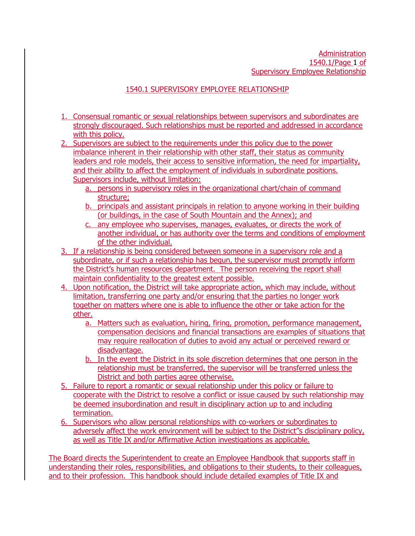## 1540.1 SUPERVISORY EMPLOYEE RELATIONSHIP

- 1. Consensual romantic or sexual relationships between supervisors and subordinates are strongly discouraged. Such relationships must be reported and addressed in accordance with this policy.
- 2. Supervisors are subject to the requirements under this policy due to the power imbalance inherent in their relationship with other staff, their status as community leaders and role models, their access to sensitive information, the need for impartiality, and their ability to affect the employment of individuals in subordinate positions. Supervisors include, without limitation:
	- a. persons in supervisory roles in the organizational chart/chain of command structure;
	- b. principals and assistant principals in relation to anyone working in their building (or buildings, in the case of South Mountain and the Annex); and
	- c. any employee who supervises, manages, evaluates, or directs the work of another individual, or has authority over the terms and conditions of employment of the other individual.
- 3. If a relationship is being considered between someone in a supervisory role and a subordinate, or if such a relationship has begun, the supervisor must promptly inform the District's human resources department. The person receiving the report shall maintain confidentiality to the greatest extent possible.
- 4. Upon notification, the District will take appropriate action, which may include, without limitation, transferring one party and/or ensuring that the parties no longer work together on matters where one is able to influence the other or take action for the other.
	- a. Matters such as evaluation, hiring, firing, promotion, performance management, compensation decisions and financial transactions are examples of situations that may require reallocation of duties to avoid any actual or perceived reward or disadvantage.
	- b. In the event the District in its sole discretion determines that one person in the relationship must be transferred, the supervisor will be transferred unless the District and both parties agree otherwise.
- 5. Failure to report a romantic or sexual relationship under this policy or failure to cooperate with the District to resolve a conflict or issue caused by such relationship may be deemed insubordination and result in disciplinary action up to and including termination.
- 6. Supervisors who allow personal relationships with co-workers or subordinates to adversely affect the work environment will be subject to the District''s disciplinary policy, as well as Title IX and/or Affirmative Action investigations as applicable.

The Board directs the Superintendent to create an Employee Handbook that supports staff in understanding their roles, responsibilities, and obligations to their students, to their colleagues, and to their profession. This handbook should include detailed examples of Title IX and